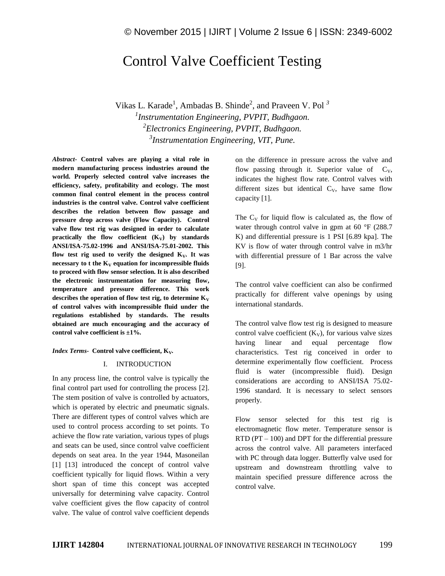# Control Valve Coefficient Testing

Vikas L. Karade<sup>1</sup>, Ambadas B. Shinde<sup>2</sup>, and Praveen V. Pol<sup>3</sup> *Instrumentation Engineering, PVPIT, Budhgaon. Electronics Engineering, PVPIT, Budhgaon. Instrumentation Engineering, VIT, Pune.*

*Abstract-* **Control valves are playing a vital role in modern manufacturing process industries around the world. Properly selected control valve increases the efficiency, safety, profitability and ecology. The most common final control element in the process control industries is the control valve. Control valve coefficient describes the relation between flow passage and pressure drop across valve (Flow Capacity). Control valve flow test rig was designed in order to calculate practically** the flow coefficient  $(K_V)$  by standards **ANSI/ISA-75.02-1996 and ANSI/ISA-75.01-2002. This flow test rig used to verify the designed**  $K_v$ **. It was necessary to t the**  $K_V$  **equation for incompressible fluids to proceed with flow sensor selection. It is also described the electronic instrumentation for measuring flow, temperature and pressure difference. This work**  describes the operation of flow test rig, to determine  $K_V$ **of control valves with incompressible fluid under the regulations established by standards. The results obtained are much encouraging and the accuracy of control valve coefficient is ±1%.**

#### *Index Terms***-** Control valve coefficient, K<sub>V</sub>.

## I. INTRODUCTION

In any process line, the control valve is typically the final control part used for controlling the process [2]. The stem position of valve is controlled by actuators, which is operated by electric and pneumatic signals. There are different types of control valves which are used to control process according to set points. To achieve the flow rate variation, various types of plugs and seats can be used, since control valve coefficient depends on seat area. In the year 1944, Masoneilan [1] [13] introduced the concept of control valve coefficient typically for liquid flows. Within a very short span of time this concept was accepted universally for determining valve capacity. Control valve coefficient gives the flow capacity of control valve. The value of control valve coefficient depends on the difference in pressure across the valve and flow passing through it. Superior value of  $C_V$ , indicates the highest flow rate. Control valves with different sizes but identical  $C_V$ , have same flow capacity [1].

The  $C_V$  for liquid flow is calculated as, the flow of water through control valve in gpm at 60 °F (288.7) K) and differential pressure is 1 PSI [6.89 kpa]. The KV is flow of water through control valve in m3/hr with differential pressure of 1 Bar across the valve [9].

The control valve coefficient can also be confirmed practically for different valve openings by using international standards.

The control valve flow test rig is designed to measure control valve coefficient  $(K_V)$ , for various valve sizes having linear and equal percentage flow characteristics. Test rig conceived in order to determine experimentally flow coefficient. Process fluid is water (incompressible fluid). Design considerations are according to ANSI/ISA 75.02- 1996 standard. It is necessary to select sensors properly.

Flow sensor selected for this test rig is electromagnetic flow meter. Temperature sensor is RTD (PT – 100) and DPT for the differential pressure across the control valve. All parameters interfaced with PC through data logger. Butterfly valve used for upstream and downstream throttling valve to maintain specified pressure difference across the control valve.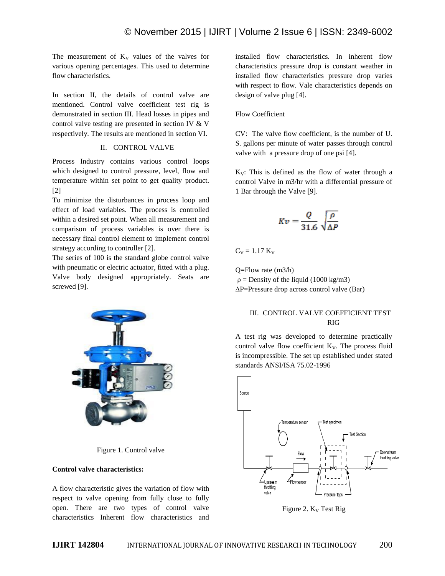The measurement of  $K_V$  values of the valves for various opening percentages. This used to determine flow characteristics.

In section II, the details of control valve are mentioned. Control valve coefficient test rig is demonstrated in section III. Head losses in pipes and control valve testing are presented in section IV & V respectively. The results are mentioned in section VI.

#### II. CONTROL VALVE

Process Industry contains various control loops which designed to control pressure, level, flow and temperature within set point to get quality product. [2]

To minimize the disturbances in process loop and effect of load variables. The process is controlled within a desired set point. When all measurement and comparison of process variables is over there is necessary final control element to implement control strategy according to controller [2].

The series of 100 is the standard globe control valve with pneumatic or electric actuator, fitted with a plug. Valve body designed appropriately. Seats are screwed [9].



Figure 1. Control valve

## **Control valve characteristics:**

A flow characteristic gives the variation of flow with respect to valve opening from fully close to fully open. There are two types of control valve characteristics Inherent flow characteristics and

installed flow characteristics. In inherent flow characteristics pressure drop is constant weather in installed flow characteristics pressure drop varies with respect to flow. Vale characteristics depends on design of valve plug [4].

## Flow Coefficient

CV: The valve flow coefficient, is the number of U. S. gallons per minute of water passes through control valve with a pressure drop of one psi [4].

 $K_V$ : This is defined as the flow of water through a control Valve in m3/hr with a differential pressure of 1 Bar through the Valve [9].

$$
Kv = \frac{Q}{31.6} \sqrt{\frac{\rho}{\Delta P}}
$$

 $C_V = 1.17 K_V$ 

Q=Flow rate (m3/h)  $p =$ Density of the liquid (1000 kg/m3) ∆P=Pressure drop across control valve (Bar)

## III. CONTROL VALVE COEFFICIENT TEST RIG

A test rig was developed to determine practically control valve flow coefficient  $K_V$ . The process fluid is incompressible. The set up established under stated standards ANSI/ISA 75.02-1996



Figure 2.  $K_v$  Test Rig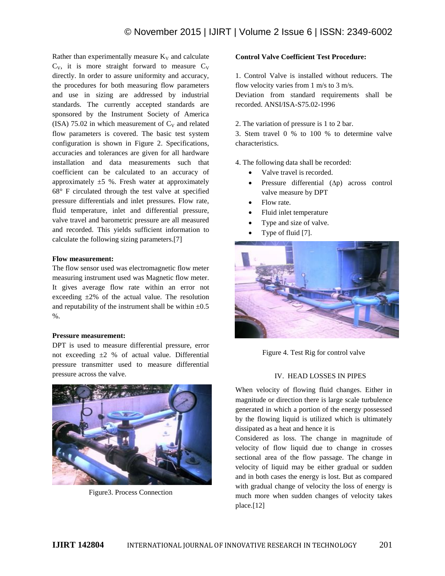Rather than experimentally measure  $K_V$  and calculate  $C_V$ , it is more straight forward to measure  $C_V$ directly. In order to assure uniformity and accuracy, the procedures for both measuring flow parameters and use in sizing are addressed by industrial standards. The currently accepted standards are sponsored by the Instrument Society of America (ISA) 75.02 in which measurement of  $C_V$  and related flow parameters is covered. The basic test system configuration is shown in Figure 2. Specifications, accuracies and tolerances are given for all hardware installation and data measurements such that coefficient can be calculated to an accuracy of approximately  $\pm 5$  %. Fresh water at approximately 68° F circulated through the test valve at specified pressure differentials and inlet pressures. Flow rate, fluid temperature, inlet and differential pressure, valve travel and barometric pressure are all measured and recorded. This yields sufficient information to calculate the following sizing parameters.[7]

#### **Flow measurement:**

The flow sensor used was electromagnetic flow meter measuring instrument used was Magnetic flow meter. It gives average flow rate within an error not exceeding  $\pm 2\%$  of the actual value. The resolution and reputability of the instrument shall be within  $\pm 0.5$  $\%$ .

## **Pressure measurement:**

DPT is used to measure differential pressure, error not exceeding  $\pm 2$  % of actual value. Differential pressure transmitter used to measure differential pressure across the valve.



Figure3. Process Connection

## **Control Valve Coefficient Test Procedure:**

1. Control Valve is installed without reducers. The flow velocity varies from 1 m/s to 3 m/s.

Deviation from standard requirements shall be recorded. ANSI/ISA-S75.02-1996

#### 2. The variation of pressure is 1 to 2 bar.

3. Stem travel 0 % to 100 % to determine valve characteristics.

4. The following data shall be recorded:

- Valve travel is recorded.
- Pressure differential (∆p) across control valve measure by DPT
- Flow rate.
- Fluid inlet temperature
- Type and size of valve.
- Type of fluid [7].



Figure 4. Test Rig for control valve

## IV. HEAD LOSSES IN PIPES

When velocity of flowing fluid changes. Either in magnitude or direction there is large scale turbulence generated in which a portion of the energy possessed by the flowing liquid is utilized which is ultimately dissipated as a heat and hence it is

Considered as loss. The change in magnitude of velocity of flow liquid due to change in crosses sectional area of the flow passage. The change in velocity of liquid may be either gradual or sudden and in both cases the energy is lost. But as compared with gradual change of velocity the loss of energy is much more when sudden changes of velocity takes place.[12]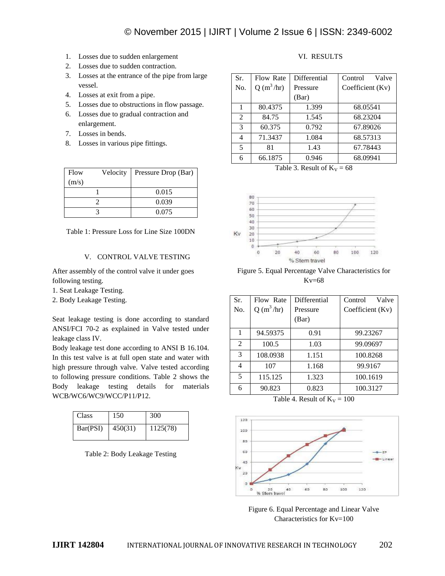- 1. Losses due to sudden enlargement
- 2. Losses due to sudden contraction.
- 3. Losses at the entrance of the pipe from large vessel.
- 4. Losses at exit from a pipe.
- 5. Losses due to obstructions in flow passage.
- 6. Losses due to gradual contraction and enlargement.
- 7. Losses in bends.
- 8. Losses in various pipe fittings.

| Flow  | Velocity | Pressure Drop (Bar) |  |
|-------|----------|---------------------|--|
| (m/s) |          |                     |  |
|       |          | 0.015               |  |
|       |          | 0.039               |  |
|       |          | 0.075               |  |

Table 1: Pressure Loss for Line Size 100DN

## V. CONTROL VALVE TESTING

After assembly of the control valve it under goes following testing.

1. Seat Leakage Testing.

2. Body Leakage Testing.

Seat leakage testing is done according to standard ANSI/FCI 70-2 as explained in Valve tested under leakage class IV.

Body leakage test done according to ANSI B 16.104. In this test valve is at full open state and water with high pressure through valve. Valve tested according to following pressure conditions. Table 2 shows the Body leakage testing details for materials WCB/WC6/WC9/WCC/P11/P12.

| Class    | 150     | 300      |
|----------|---------|----------|
| Bar(PSI) | 450(31) | 1125(78) |

Table 2: Body Leakage Testing

# VI. RESULTS

| Sr.                      | Flow Rate   | <b>Differential</b> | Valve<br>Control |
|--------------------------|-------------|---------------------|------------------|
| No.                      | $Q(m^3/hr)$ | Pressure            | Coefficient (Kv) |
|                          |             | (Bar)               |                  |
| 1                        | 80.4375     | 1.399               | 68.05541         |
| 2                        | 84.75       | 1.545               | 68.23204         |
| 3                        | 60.375      | 0.792               | 67.89026         |
| 4                        | 71.3437     | 1.084               | 68.57313         |
| $\overline{\phantom{0}}$ | 81          | 1.43                | 67.78443         |
| 6                        | 66.1875     | 0.946               | 68.09941         |

Table 3. Result of  $K_V = 68$ 



Figure 5. Equal Percentage Valve Characteristics for Kv=68

| Flow Rate<br>$Q(m^3/hr)$ | Differential<br>Pressure<br>(Bar) | Valve<br>Control<br>Coefficient (Kv) |
|--------------------------|-----------------------------------|--------------------------------------|
| 94.59375                 | 0.91                              | 99.23267                             |
| 100.5                    | 1.03                              | 99.09697                             |
| 108.0938                 | 1.151                             | 100.8268                             |
| 107                      | 1.168                             | 99.9167                              |
| 115.125                  | 1.323                             | 100.1619                             |
| 90.823                   | 0.823                             | 100.3127                             |
|                          |                                   |                                      |

Table 4. Result of  $K_V = 100$